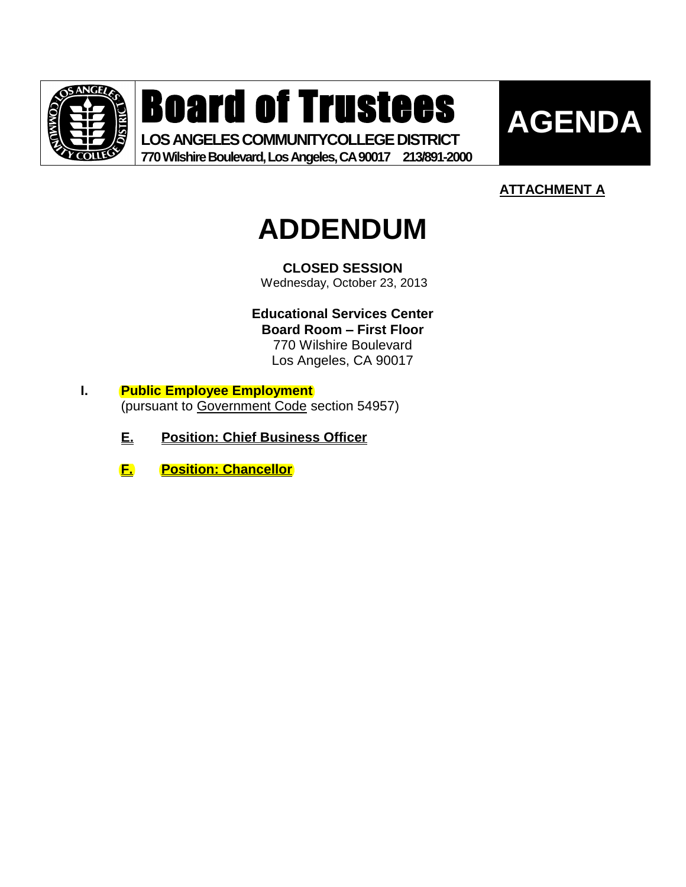

Board of Trustees

**LOS ANGELES COMMUNITYCOLLEGE DISTRICT 770 Wilshire Boulevard, Los Angeles, CA 90017 213/891-2000**



## **ATTACHMENT A**

# **ADDENDUM**

**CLOSED SESSION** Wednesday, October 23, 2013

**Educational Services Center Board Room – First Floor** 770 Wilshire Boulevard Los Angeles, CA 90017

- **I. Public Employee Employment** (pursuant to Government Code section 54957)
	- **E. Position: Chief Business Officer**
	- **F. Position: Chancellor**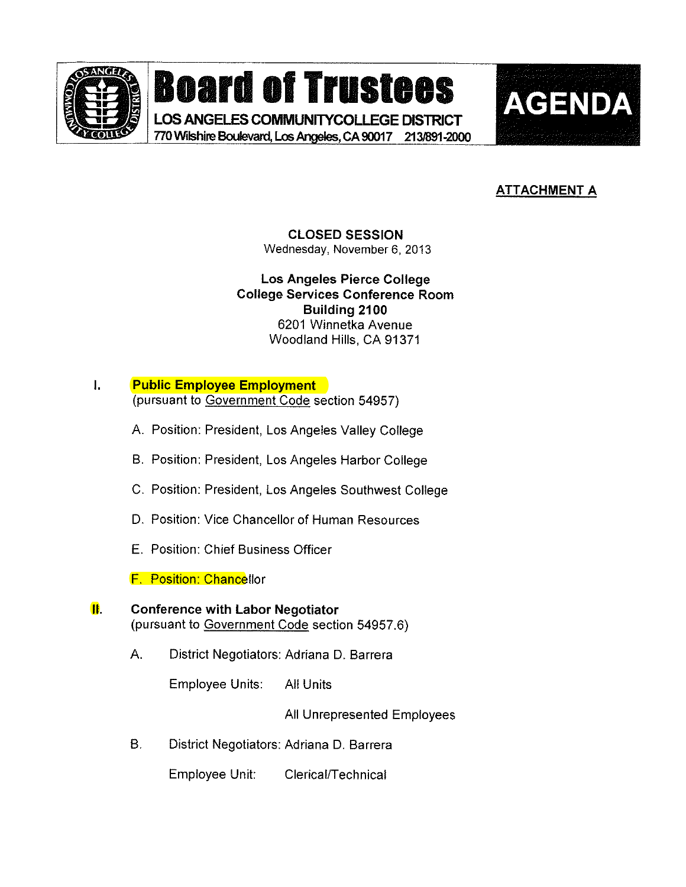

# **Board of Trustees AGENDA**

LOS ANGELES COMMUNITYCOLLEGE DISTRICT 770 Wilshire Boulevard, Los Angeles, CA 90017 213/891-2000



### **ATTACHMENT A**

CLOSED SESSION Wednesday, November 6, 2013

Los Angeles Pierce College College Services Conference Room Building 2100 6201 Winnetka Avenue Woodland Hills, CA 91371

- $\mathbf{L}$ Public Employee Employment (pursuant to Government Code section 54957)
	- A. Position: President, Los Angeles Valley College
	- B. Position: President, Los Angeles Harbor College
	- C. Position: President, Los Angeles Southwest College
	- D, Position: Vice Chancellor of Human Resources
	- E. Position: Chief Business Officer

F. Position: Chanceilor

#### **II.** Conference with Labor Negotiator (pursuant to Government Code section 54957.6)

A. District Negotiators: Adriana D. Barrera

Employee Units: Ai! Units

All Unrepresented Employees

B. District Negotiators: Adriana D. Barrera

Employee Unit: Clericai/Technica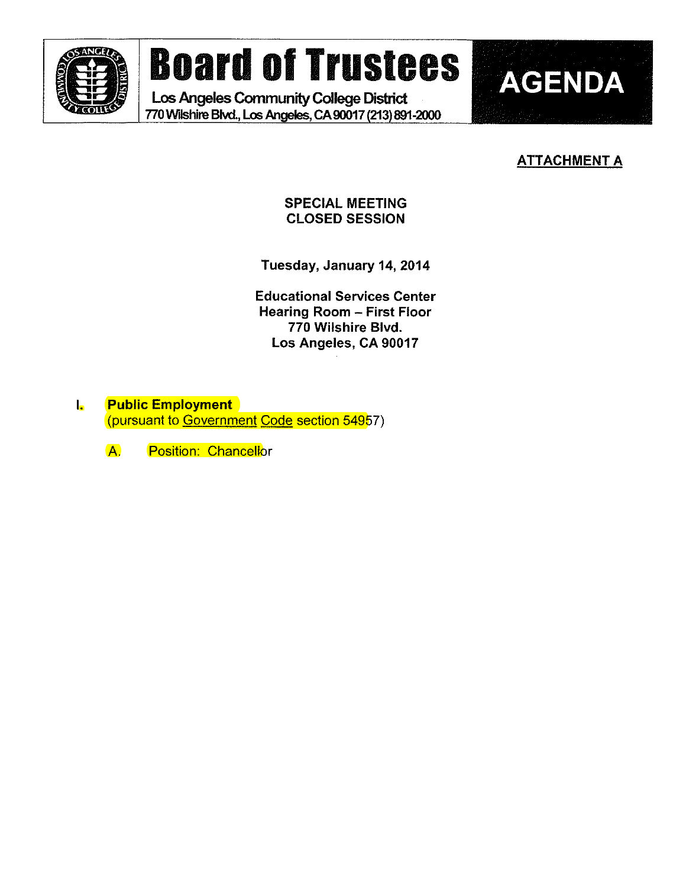

# Board of Trustees | AGENDA

Los Angeles Community College District 770 Wilshire Blvd., Los Angeles, CA 90017 (213) 891-2000



SPECIAL MEETING CLOSED SESSION

Tuesday, January 14,2014

Educational Services Center Hearing Room ~ First Floor 770 Wilshire Blvd. Los Angeles, CA 90017

I. Public Employment (pursuant to Government Code section 54957)

A. Position: Chancellor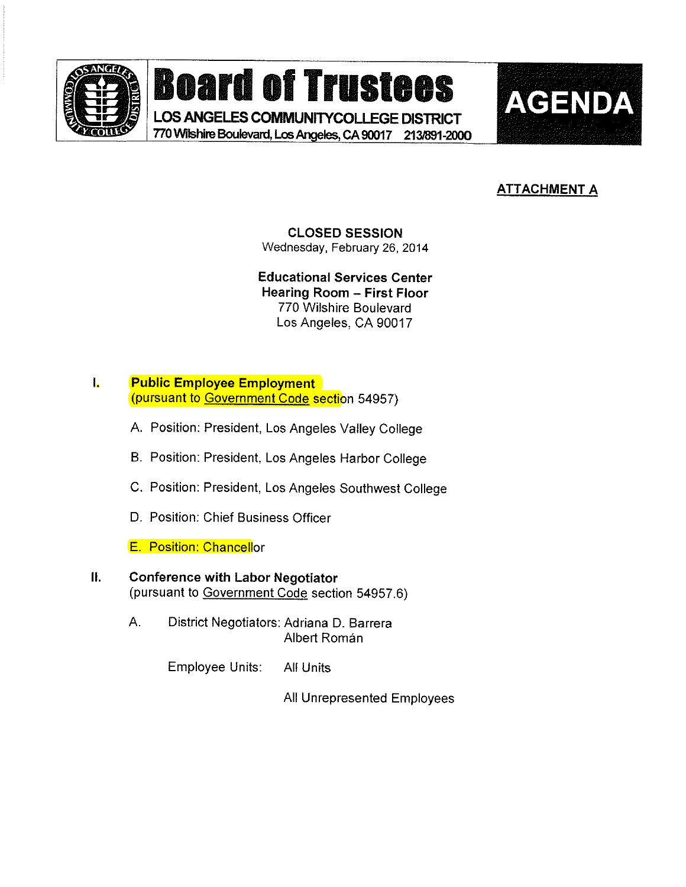

Board of Trustees AGENDA

LOS ANGELES COMMUNITYCOLLEGE DISTRICT 770 Wilshire Boulevard, Los Angeles, CA 90017 213/891-2000



### ATTACHMENT A

#### CLOSED SESSION Wednesday, February 26, 2014

Educational Services Center Hearing Room - First Floor 770 Wilshire Boulevard Los Angeles, CA 90017

#### I. Public Employee Employment (pursuant to Government Code section 54957)

- A. Position: President, Los Angeles Valley College
- B. Position: President, Los Angeles Harbor Cofiege
- C. Position: President, Los Angeies Southwest College
- D. Position: Chief Business Officer
- E. Position: Chancelior

#### II. Conference with Labor Negotiator (pursuant to Government Code section 54957.6)

A. District Negotiators: Adriana D. Barrera **Albert Román** 

Employee Units: Ail Units

All Unrepresented Employees